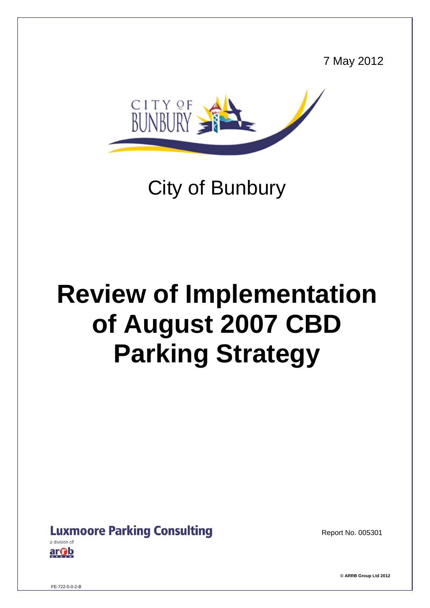7 May 2012



## City of Bunbury

# **Review of Implementation of August 2007 CBD Parking Strategy**

## **Luxmoore Parking Consulting**

arOb

Report No. 005301

**© ARRB Group Ltd 2012**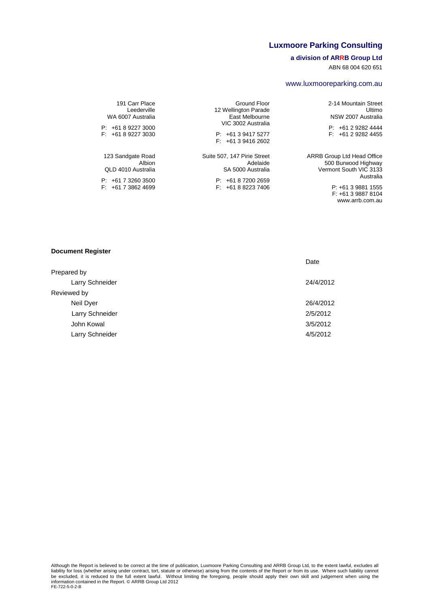#### **Luxmoore Parking Consulting**

#### **a division of ARRB Group Ltd**

ABN 68 004 620 651

#### www.luxmooreparking.com.au

2-14 Mountain Street Ultimo NSW 2007 Australia

P: +61 2 9282 4444 F: +61 2 9282 4455

ARRB Group Ltd Head Office 500 Burwood Highway Vermont South VIC 3133 Australia

> P: +61 3 9881 1555 F: +61 3 9887 8104 www.arrb.com.au

Ground Floor 12 Wellington Parade East Melbourne VIC 3002 Australia

P: +61 3 9417 5277  $F: +61394162602$ 

Suite 507, 147 Pirie Street Adelaide SA 5000 Australia

> P: +61 8 7200 2659 F: +61 8 8223 7406

191 Carr Place Leederville WA 6007 Australia

P: +61 8 9227 3000 F: +61 8 9227 3030

123 Sandgate Road Albion QLD 4010 Australia

P: +61 7 3260 3500 F: +61 7 3862 4699

#### **Document Register**

|                 | Date      |
|-----------------|-----------|
| Prepared by     |           |
| Larry Schneider | 24/4/2012 |
| Reviewed by     |           |
| Neil Dyer       | 26/4/2012 |
| Larry Schneider | 2/5/2012  |
| John Kowal      | 3/5/2012  |
| Larry Schneider | 4/5/2012  |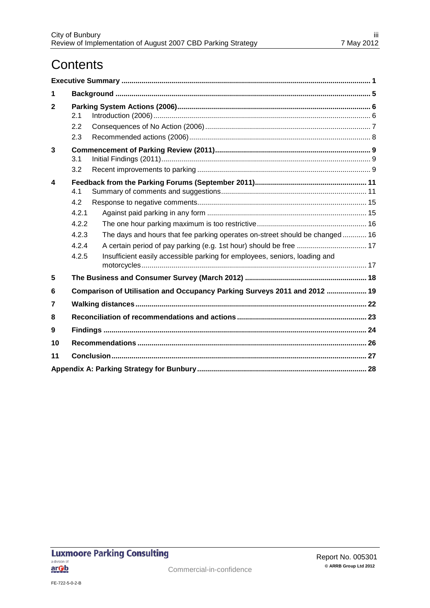## **Contents**

| 1            |                                                         |                                                                                                                                                           |  |  |
|--------------|---------------------------------------------------------|-----------------------------------------------------------------------------------------------------------------------------------------------------------|--|--|
| $\mathbf{2}$ | 2.1<br>2.2<br>2.3                                       |                                                                                                                                                           |  |  |
| 3            | 3.1<br>3.2                                              |                                                                                                                                                           |  |  |
| 4            | 4.1<br>4.2<br>4.2.1<br>4.2.2<br>4.2.3<br>4.2.4<br>4.2.5 | The days and hours that fee parking operates on-street should be changed 16<br>Insufficient easily accessible parking for employees, seniors, loading and |  |  |
| 5            |                                                         |                                                                                                                                                           |  |  |
| 6            |                                                         | Comparison of Utilisation and Occupancy Parking Surveys 2011 and 2012  19                                                                                 |  |  |
| 7            |                                                         |                                                                                                                                                           |  |  |
| 8            |                                                         |                                                                                                                                                           |  |  |
| 9            |                                                         |                                                                                                                                                           |  |  |
| 10           |                                                         |                                                                                                                                                           |  |  |
| 11           |                                                         |                                                                                                                                                           |  |  |
|              |                                                         |                                                                                                                                                           |  |  |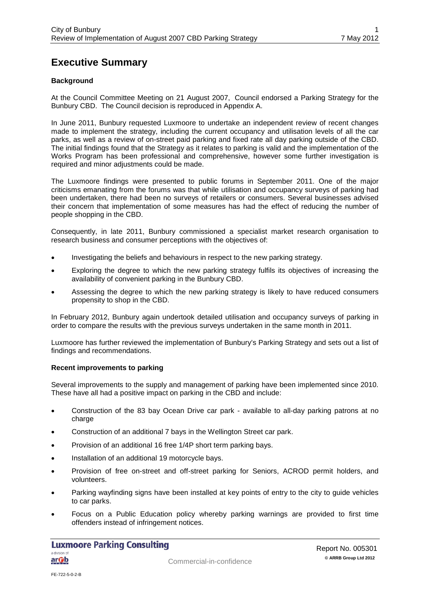## <span id="page-3-0"></span>**Executive Summary**

#### **Background**

At the Council Committee Meeting on 21 August 2007, Council endorsed a Parking Strategy for the Bunbury CBD. The Council decision is reproduced in Appendix A.

In June 2011, Bunbury requested Luxmoore to undertake an independent review of recent changes made to implement the strategy, including the current occupancy and utilisation levels of all the car parks, as well as a review of on-street paid parking and fixed rate all day parking outside of the CBD. The initial findings found that the Strategy as it relates to parking is valid and the implementation of the Works Program has been professional and comprehensive, however some further investigation is required and minor adjustments could be made.

The Luxmoore findings were presented to public forums in September 2011. One of the major criticisms emanating from the forums was that while utilisation and occupancy surveys of parking had been undertaken, there had been no surveys of retailers or consumers. Several businesses advised their concern that implementation of some measures has had the effect of reducing the number of people shopping in the CBD.

Consequently, in late 2011, Bunbury commissioned a specialist market research organisation to research business and consumer perceptions with the objectives of:

- Investigating the beliefs and behaviours in respect to the new parking strategy.
- Exploring the degree to which the new parking strategy fulfils its objectives of increasing the availability of convenient parking in the Bunbury CBD.
- Assessing the degree to which the new parking strategy is likely to have reduced consumers propensity to shop in the CBD.

In February 2012, Bunbury again undertook detailed utilisation and occupancy surveys of parking in order to compare the results with the previous surveys undertaken in the same month in 2011.

Luxmoore has further reviewed the implementation of Bunbury's Parking Strategy and sets out a list of findings and recommendations.

#### **Recent improvements to parking**

Several improvements to the supply and management of parking have been implemented since 2010. These have all had a positive impact on parking in the CBD and include:

- Construction of the 83 bay Ocean Drive car park available to all-day parking patrons at no charge
- Construction of an additional 7 bays in the Wellington Street car park.
- Provision of an additional 16 free 1/4P short term parking bays.
- Installation of an additional 19 motorcycle bays.
- Provision of free on-street and off-street parking for Seniors, ACROD permit holders, and volunteers.
- Parking wayfinding signs have been installed at key points of entry to the city to guide vehicles to car parks.
- <span id="page-3-1"></span>• Focus on a Public Education policy whereby parking warnings are provided to first time offenders instead of infringement notices.

**Luxmoore Parking Consulting** a division of <u>ar Ob</u>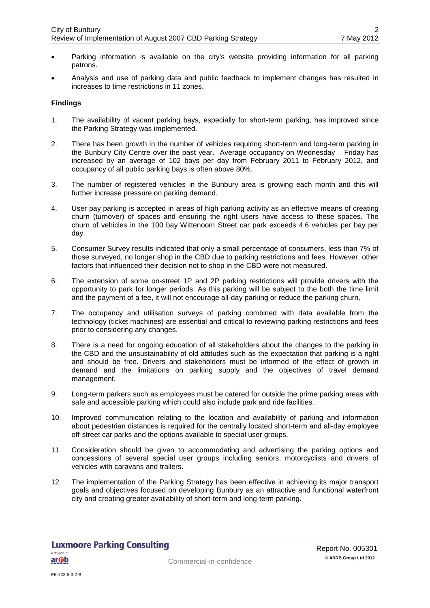- Parking information is available on the city's website providing information for all parking patrons.
- Analysis and use of parking data and public feedback to implement changes has resulted in increases to time restrictions in 11 zones.

#### **Findings**

- 1. The availability of vacant parking bays, especially for short-term parking, has improved since the Parking Strategy was implemented.
- 2. There has been growth in the number of vehicles requiring short-term and long-term parking in the Bunbury City Centre over the past year. Average occupancy on Wednesday – Friday has increased by an average of 102 bays per day from February 2011 to February 2012, and occupancy of all public parking bays is often above 80%.
- 3. The number of registered vehicles in the Bunbury area is growing each month and this will further increase pressure on parking demand.
- 4. User pay parking is accepted in areas of high parking activity as an effective means of creating churn (turnover) of spaces and ensuring the right users have access to these spaces. The churn of vehicles in the 100 bay Wittenoom Street car park exceeds 4.6 vehicles per bay per day.
- 5. Consumer Survey results indicated that only a small percentage of consumers, less than 7% of those surveyed, no longer shop in the CBD due to parking restrictions and fees. However, other factors that influenced their decision not to shop in the CBD were not measured.
- 6. The extension of some on-street 1P and 2P parking restrictions will provide drivers with the opportunity to park for longer periods. As this parking will be subject to the both the time limit and the payment of a fee, it will not encourage all-day parking or reduce the parking churn.
- 7. The occupancy and utilisation surveys of parking combined with data available from the technology (ticket machines) are essential and critical to reviewing parking restrictions and fees prior to considering any changes.
- 8. There is a need for ongoing education of all stakeholders about the changes to the parking in the CBD and the unsustainability of old attitudes such as the expectation that parking is a right and should be free. Drivers and stakeholders must be informed of the effect of growth in demand and the limitations on parking supply and the objectives of travel demand management.
- 9. Long-term parkers such as employees must be catered for outside the prime parking areas with safe and accessible parking which could also include park and ride facilities.
- 10. Improved communication relating to the location and availability of parking and information about pedestrian distances is required for the centrally located short-term and all-day employee off-street car parks and the options available to special user groups.
- 11. Consideration should be given to accommodating and advertising the parking options and concessions of several special user groups including seniors, motorcyclists and drivers of vehicles with caravans and trailers.
- 12. The implementation of the Parking Strategy has been effective in achieving its major transport goals and objectives focused on developing Bunbury as an attractive and functional waterfront city and creating greater availability of short-term and long-term parking.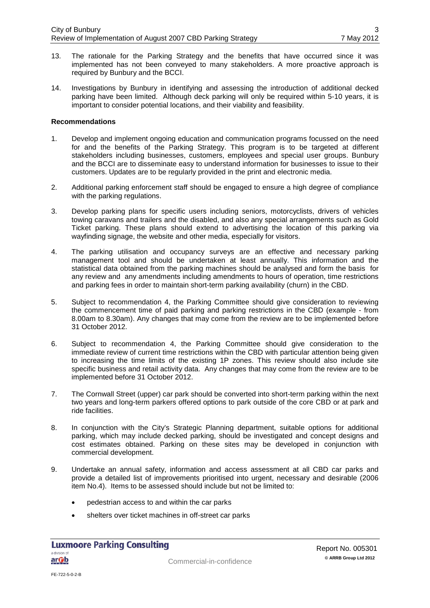- 13. The rationale for the Parking Strategy and the benefits that have occurred since it was implemented has not been conveyed to many stakeholders. A more proactive approach is required by Bunbury and the BCCI.
- 14. Investigations by Bunbury in identifying and assessing the introduction of additional decked parking have been limited. Although deck parking will only be required within 5-10 years, it is important to consider potential locations, and their viability and feasibility.

#### **Recommendations**

- 1. Develop and implement ongoing education and communication programs focussed on the need for and the benefits of the Parking Strategy. This program is to be targeted at different stakeholders including businesses, customers, employees and special user groups. Bunbury and the BCCI are to disseminate easy to understand information for businesses to issue to their customers. Updates are to be regularly provided in the print and electronic media.
- 2. Additional parking enforcement staff should be engaged to ensure a high degree of compliance with the parking regulations.
- 3. Develop parking plans for specific users including seniors, motorcyclists, drivers of vehicles towing caravans and trailers and the disabled, and also any special arrangements such as Gold Ticket parking. These plans should extend to advertising the location of this parking via wayfinding signage, the website and other media, especially for visitors.
- 4. The parking utilisation and occupancy surveys are an effective and necessary parking management tool and should be undertaken at least annually. This information and the statistical data obtained from the parking machines should be analysed and form the basis for any review and any amendments including amendments to hours of operation, time restrictions and parking fees in order to maintain short-term parking availability (churn) in the CBD.
- 5. Subject to recommendation 4, the Parking Committee should give consideration to reviewing the commencement time of paid parking and parking restrictions in the CBD (example - from 8.00am to 8.30am). Any changes that may come from the review are to be implemented before 31 October 2012.
- 6. Subject to recommendation 4, the Parking Committee should give consideration to the immediate review of current time restrictions within the CBD with particular attention being given to increasing the time limits of the existing 1P zones. This review should also include site specific business and retail activity data. Any changes that may come from the review are to be implemented before 31 October 2012.
- 7. The Cornwall Street (upper) car park should be converted into short-term parking within the next two years and long-term parkers offered options to park outside of the core CBD or at park and ride facilities.
- 8. In conjunction with the City's Strategic Planning department, suitable options for additional parking, which may include decked parking, should be investigated and concept designs and cost estimates obtained. Parking on these sites may be developed in conjunction with commercial development.
- 9. Undertake an annual safety, information and access assessment at all CBD car parks and provide a detailed list of improvements prioritised into urgent, necessary and desirable (2006 item No.4). Items to be assessed should include but not be limited to:
	- pedestrian access to and within the car parks
	- shelters over ticket machines in off-street car parks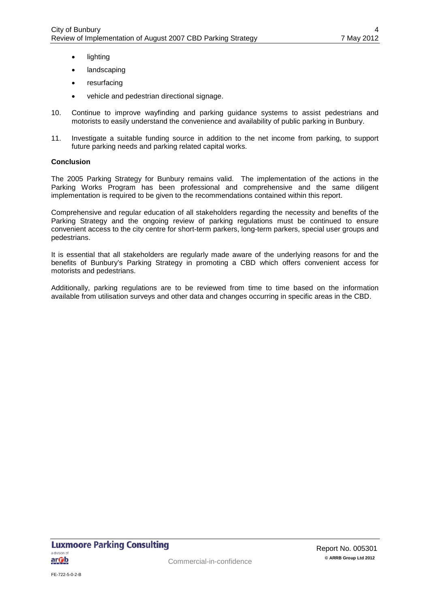- lighting
- **landscaping**
- resurfacing
- vehicle and pedestrian directional signage.
- 10. Continue to improve wayfinding and parking guidance systems to assist pedestrians and motorists to easily understand the convenience and availability of public parking in Bunbury.
- 11. Investigate a suitable funding source in addition to the net income from parking, to support future parking needs and parking related capital works.

#### **Conclusion**

The 2005 Parking Strategy for Bunbury remains valid. The implementation of the actions in the Parking Works Program has been professional and comprehensive and the same diligent implementation is required to be given to the recommendations contained within this report.

Comprehensive and regular education of all stakeholders regarding the necessity and benefits of the Parking Strategy and the ongoing review of parking regulations must be continued to ensure convenient access to the city centre for short-term parkers, long-term parkers, special user groups and pedestrians.

It is essential that all stakeholders are regularly made aware of the underlying reasons for and the benefits of Bunbury's Parking Strategy in promoting a CBD which offers convenient access for motorists and pedestrians.

Additionally, parking regulations are to be reviewed from time to time based on the information available from utilisation surveys and other data and changes occurring in specific areas in the CBD.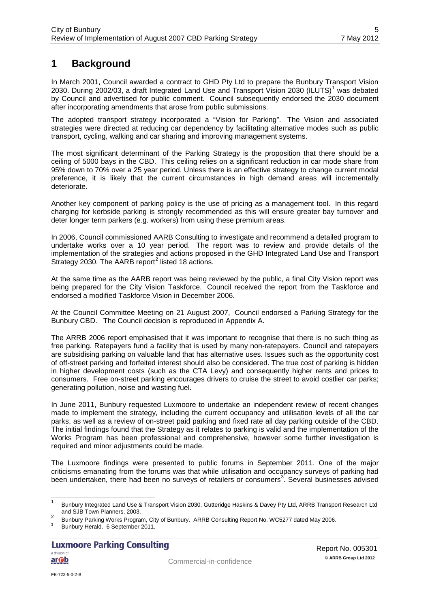## <span id="page-7-0"></span>**1 Background**

In March 2001, Council awarded a contract to GHD Pty Ltd to prepare the Bunbury Transport Vision 2030. During 2002/03, a draft Integrated Land Use and Transport Vision 2030 (ILUTS)<sup>[1](#page-3-1)</sup> was debated by Council and advertised for public comment. Council subsequently endorsed the 2030 document after incorporating amendments that arose from public submissions.

The adopted transport strategy incorporated a "Vision for Parking". The Vision and associated strategies were directed at reducing car dependency by facilitating alternative modes such as public transport, cycling, walking and car sharing and improving management systems.

The most significant determinant of the Parking Strategy is the proposition that there should be a ceiling of 5000 bays in the CBD. This ceiling relies on a significant reduction in car mode share from 95% down to 70% over a 25 year period. Unless there is an effective strategy to change current modal preference, it is likely that the current circumstances in high demand areas will incrementally deteriorate.

Another key component of parking policy is the use of pricing as a management tool. In this regard charging for kerbside parking is strongly recommended as this will ensure greater bay turnover and deter longer term parkers (e.g. workers) from using these premium areas.

In 2006, Council commissioned AARB Consulting to investigate and recommend a detailed program to undertake works over a 10 year period. The report was to review and provide details of the implementation of the strategies and actions proposed in the GHD Integrated Land Use and Transport Strategy [2](#page-7-1)030. The AARB report<sup>2</sup> listed 18 actions.

At the same time as the AARB report was being reviewed by the public, a final City Vision report was being prepared for the City Vision Taskforce. Council received the report from the Taskforce and endorsed a modified Taskforce Vision in December 2006.

At the Council Committee Meeting on 21 August 2007, Council endorsed a Parking Strategy for the Bunbury CBD. The Council decision is reproduced in Appendix A.

The ARRB 2006 report emphasised that it was important to recognise that there is no such thing as free parking. Ratepayers fund a facility that is used by many non-ratepayers. Council and ratepayers are subsidising parking on valuable land that has alternative uses. Issues such as the opportunity cost of off-street parking and forfeited interest should also be considered. The true cost of parking is hidden in higher development costs (such as the CTA Levy) and consequently higher rents and prices to consumers. Free on-street parking encourages drivers to cruise the street to avoid costlier car parks; generating pollution, noise and wasting fuel.

In June 2011, Bunbury requested Luxmoore to undertake an independent review of recent changes made to implement the strategy, including the current occupancy and utilisation levels of all the car parks, as well as a review of on-street paid parking and fixed rate all day parking outside of the CBD. The initial findings found that the Strategy as it relates to parking is valid and the implementation of the Works Program has been professional and comprehensive, however some further investigation is required and minor adjustments could be made.

The Luxmoore findings were presented to public forums in September 2011. One of the major criticisms emanating from the forums was that while utilisation and occupancy surveys of parking had been undertaken, there had been no surveys of retailers or consumers<sup>[3](#page-7-2)</sup>. Several businesses advised

<sup>&</sup>lt;sup>1</sup> Bunbury Integrated Land Use & Transport Vision 2030. Gutteridge Haskins & Davey Pty Ltd, ARRB Transport Research Ltd and SJB Town Planners, 2003.

<span id="page-7-3"></span><span id="page-7-1"></span><sup>2&</sup>lt;br>Bunbury Parking Works Program, City of Bunbury. ARRB Consulting Report No. WC5277 dated May 2006.<br>Bunbury Herald. 6 September 2011.

<span id="page-7-2"></span>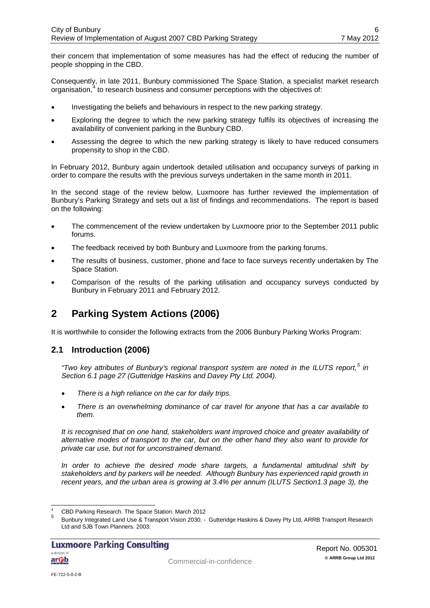their concern that implementation of some measures has had the effect of reducing the number of people shopping in the CBD.

Consequently, in late 2011, Bunbury commissioned The Space Station, a specialist market research organisation, [4](#page-7-3) to research business and consumer perceptions with the objectives of:

- Investigating the beliefs and behaviours in respect to the new parking strategy.
- Exploring the degree to which the new parking strategy fulfils its objectives of increasing the availability of convenient parking in the Bunbury CBD.
- Assessing the degree to which the new parking strategy is likely to have reduced consumers propensity to shop in the CBD.

In February 2012, Bunbury again undertook detailed utilisation and occupancy surveys of parking in order to compare the results with the previous surveys undertaken in the same month in 2011.

In the second stage of the review below, Luxmoore has further reviewed the implementation of Bunbury's Parking Strategy and sets out a list of findings and recommendations. The report is based on the following:

- The commencement of the review undertaken by Luxmoore prior to the September 2011 public forums.
- The feedback received by both Bunbury and Luxmoore from the parking forums.
- The results of business, customer, phone and face to face surveys recently undertaken by The Space Station.
- Comparison of the results of the parking utilisation and occupancy surveys conducted by Bunbury in February 2011 and February 2012.

## <span id="page-8-0"></span>**2 Parking System Actions (2006)**

It is worthwhile to consider the following extracts from the 2006 Bunbury Parking Works Program:

#### <span id="page-8-1"></span>**2.1 Introduction (2006)**

*"Two key attributes of Bunbury's regional transport system are noted in the ILUTS report, [5](#page-8-2) in Section 6.1 page 27 (Gutteridge Haskins and Davey Pty Ltd. 2004).* 

- *There is a high reliance on the car for daily trips.*
- *There is an overwhelming dominance of car travel for anyone that has a car available to them.*

*It is recognised that on one hand, stakeholders want improved choice and greater availability of alternative modes of transport to the car, but on the other hand they also want to provide for private car use, but not for unconstrained demand.*

*In order to achieve the desired mode share targets, a fundamental attitudinal shift by stakeholders and by parkers will be needed. Although Bunbury has experienced rapid growth in recent years, and the urban area is growing at 3.4% per annum (ILUTS Section1.3 page 3), the* 

<span id="page-8-3"></span><span id="page-8-2"></span>

<sup>&</sup>lt;sup>4</sup> CBD Parking Research. The Space Station. March 2012<br><sup>5</sup> Bunbury Integrated Land Use & Transport Vision 2030. - Gutteridge Haskins & Davey Pty Ltd, ARRB Transport Research Ltd and SJB Town Planners. 2003.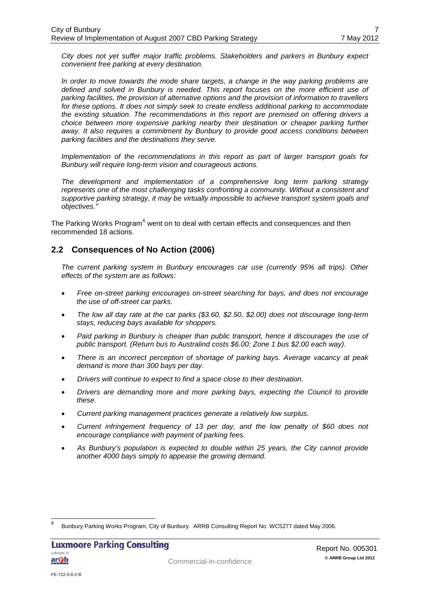*City does not yet suffer major traffic problems. Stakeholders and parkers in Bunbury expect convenient free parking at every destination.* 

*In order to move towards the mode share targets, a change in the way parking problems are defined and solved in Bunbury is needed. This report focuses on the more efficient use of parking facilities, the provision of alternative options and the provision of information to travellers for these options. It does not simply seek to create endless additional parking to accommodate the existing situation. The recommendations in this report are premised on offering drivers a choice between more expensive parking nearby their destination or cheaper parking further away. It also requires a commitment by Bunbury to provide good access conditions between parking facilities and the destinations they serve.*

*Implementation of the recommendations in this report as part of larger transport goals for Bunbury will require long-term vision and courageous actions.* 

*The development and implementation of a comprehensive long term parking strategy represents one of the most challenging tasks confronting a community. Without a consistent and supportive parking strategy, it may be virtually impossible to achieve transport system goals and objectives."*

The Parking Works Program<sup>[6](#page-8-3)</sup> went on to deal with certain effects and consequences and then recommended 18 actions.

#### <span id="page-9-0"></span>**2.2 Consequences of No Action (2006)**

*The current parking system in Bunbury encourages car use (currently 95% all trips). Other effects of the system are as follows:*

- *Free on-street parking encourages on-street searching for bays, and does not encourage the use of off-street car parks.*
- *The low all day rate at the car parks (\$3.60, \$2.50, \$2.00) does not discourage long-term stays, reducing bays available for shoppers.*
- *Paid parking in Bunbury is cheaper than public transport, hence it discourages the use of public transport. (Return bus to Australind costs \$6.00; Zone 1 bus \$2.00 each way).*
- *There is an incorrect perception of shortage of parking bays. Average vacancy at peak demand is more than 300 bays per day.*
- *Drivers will continue to expect to find a space close to their destination.*
- *Drivers are demanding more and more parking bays, expecting the Council to provide these.*
- *Current parking management practices generate a relatively low surplus.*
- *Current infringement frequency of 13 per day, and the low penalty of \$60 does not encourage compliance with payment of parking fees.*
- *As Bunbury's population is expected to double within 25 years, the City cannot provide another 4000 bays simply to appease the growing demand.*

<span id="page-9-1"></span> <sup>6</sup> Bunbury Parking Works Program, City of Bunbury. ARRB Consulting Report No. WC5277 dated May 2006.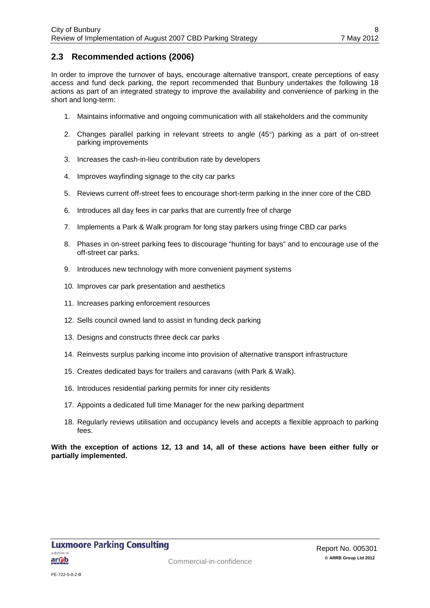#### <span id="page-10-0"></span>**2.3 Recommended actions (2006)**

In order to improve the turnover of bays, encourage alternative transport, create perceptions of easy access and fund deck parking, the report recommended that Bunbury undertakes the following 18 actions as part of an integrated strategy to improve the availability and convenience of parking in the short and long-term:

- 1. Maintains informative and ongoing communication with all stakeholders and the community
- 2. Changes parallel parking in relevant streets to angle (45°) parking as a part of on-street parking improvements
- 3. Increases the cash-in-lieu contribution rate by developers
- 4. Improves wayfinding signage to the city car parks
- 5. Reviews current off-street fees to encourage short-term parking in the inner core of the CBD
- 6. Introduces all day fees in car parks that are currently free of charge
- 7. Implements a Park & Walk program for long stay parkers using fringe CBD car parks
- 8. Phases in on-street parking fees to discourage "hunting for bays" and to encourage use of the off-street car parks.
- 9. Introduces new technology with more convenient payment systems
- 10. Improves car park presentation and aesthetics
- 11. Increases parking enforcement resources
- 12. Sells council owned land to assist in funding deck parking
- 13. Designs and constructs three deck car parks
- 14. Reinvests surplus parking income into provision of alternative transport infrastructure
- 15. Creates dedicated bays for trailers and caravans (with Park & Walk).
- 16. Introduces residential parking permits for inner city residents
- 17. Appoints a dedicated full time Manager for the new parking department
- 18. Regularly reviews utilisation and occupancy levels and accepts a flexible approach to parking fees.

**With the exception of actions 12, 13 and 14, all of these actions have been either fully or partially implemented.**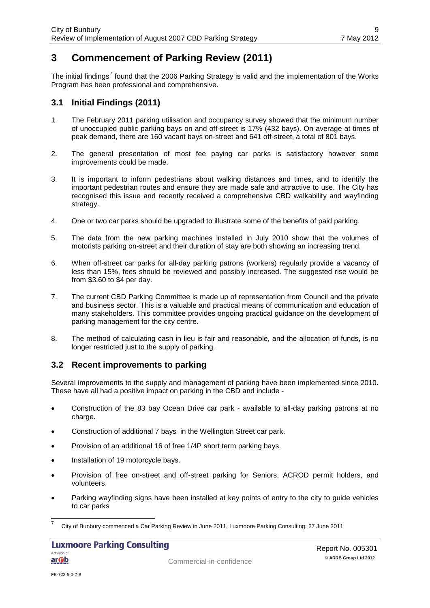## <span id="page-11-0"></span>**3 Commencement of Parking Review (2011)**

The initial findings<sup>[7](#page-9-1)</sup> found that the 2006 Parking Strategy is valid and the implementation of the Works Program has been professional and comprehensive.

#### <span id="page-11-1"></span>**3.1 Initial Findings (2011)**

- 1. The February 2011 parking utilisation and occupancy survey showed that the minimum number of unoccupied public parking bays on and off-street is 17% (432 bays). On average at times of peak demand, there are 160 vacant bays on-street and 641 off-street, a total of 801 bays.
- 2. The general presentation of most fee paying car parks is satisfactory however some improvements could be made.
- 3. It is important to inform pedestrians about walking distances and times, and to identify the important pedestrian routes and ensure they are made safe and attractive to use. The City has recognised this issue and recently received a comprehensive CBD walkability and wayfinding strategy.
- 4. One or two car parks should be upgraded to illustrate some of the benefits of paid parking.
- 5. The data from the new parking machines installed in July 2010 show that the volumes of motorists parking on-street and their duration of stay are both showing an increasing trend.
- 6. When off-street car parks for all-day parking patrons (workers) regularly provide a vacancy of less than 15%, fees should be reviewed and possibly increased. The suggested rise would be from \$3.60 to \$4 per day.
- 7. The current CBD Parking Committee is made up of representation from Council and the private and business sector. This is a valuable and practical means of communication and education of many stakeholders. This committee provides ongoing practical guidance on the development of parking management for the city centre.
- 8. The method of calculating cash in lieu is fair and reasonable, and the allocation of funds, is no longer restricted just to the supply of parking.

#### <span id="page-11-2"></span>**3.2 Recent improvements to parking**

Several improvements to the supply and management of parking have been implemented since 2010. These have all had a positive impact on parking in the CBD and include -

- Construction of the 83 bay Ocean Drive car park available to all-day parking patrons at no charge.
- Construction of additional 7 bays in the Wellington Street car park.
- Provision of an additional 16 of free 1/4P short term parking bays.
- Installation of 19 motorcycle bays.
- Provision of free on-street and off-street parking for Seniors, ACROD permit holders, and volunteers.
- Parking wayfinding signs have been installed at key points of entry to the city to guide vehicles to car parks

<span id="page-11-3"></span> <sup>7</sup> City of Bunbury commenced a Car Parking Review in June 2011, Luxmoore Parking Consulting. 27 June 2011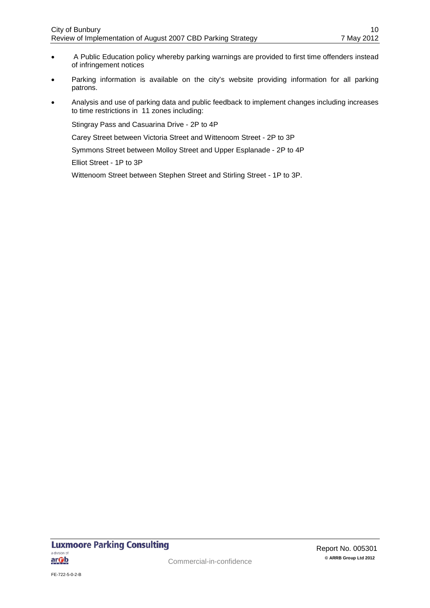- A Public Education policy whereby parking warnings are provided to first time offenders instead of infringement notices
- Parking information is available on the city's website providing information for all parking patrons.
- Analysis and use of parking data and public feedback to implement changes including increases to time restrictions in 11 zones including:

Stingray Pass and Casuarina Drive - 2P to 4P

Carey Street between Victoria Street and Wittenoom Street - 2P to 3P

Symmons Street between Molloy Street and Upper Esplanade - 2P to 4P

Elliot Street - 1P to 3P

Wittenoom Street between Stephen Street and Stirling Street - 1P to 3P.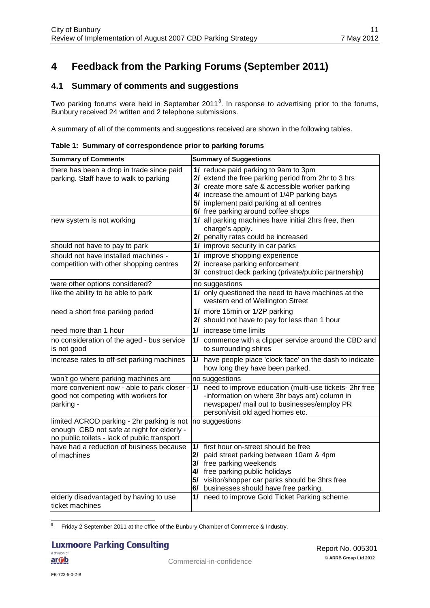## <span id="page-13-0"></span>**4 Feedback from the Parking Forums (September 2011)**

### <span id="page-13-1"></span>**4.1 Summary of comments and suggestions**

Two parking forums were held in September 2011<sup>[8](#page-11-3)</sup>. In response to advertising prior to the forums, Bunbury received 24 written and 2 telephone submissions.

A summary of all of the comments and suggestions received are shown in the following tables.

| Table 1: Summary of correspondence prior to parking forums |  |  |  |  |  |
|------------------------------------------------------------|--|--|--|--|--|
|------------------------------------------------------------|--|--|--|--|--|

| <b>Summary of Comments</b>                                                                                                               | <b>Summary of Suggestions</b>                                                                                                                                                                                                                                                    |
|------------------------------------------------------------------------------------------------------------------------------------------|----------------------------------------------------------------------------------------------------------------------------------------------------------------------------------------------------------------------------------------------------------------------------------|
| there has been a drop in trade since paid<br>parking. Staff have to walk to parking                                                      | 1/ reduce paid parking to 9am to 3pm<br>2/ extend the free parking period from 2hr to 3 hrs<br>3/ create more safe & accessible worker parking<br>4/ increase the amount of 1/4P parking bays<br>5/ implement paid parking at all centres<br>6/ free parking around coffee shops |
| new system is not working                                                                                                                | 1/ all parking machines have initial 2hrs free, then<br>charge's apply.<br>2/ penalty rates could be increased                                                                                                                                                                   |
| should not have to pay to park                                                                                                           | 1/ improve security in car parks                                                                                                                                                                                                                                                 |
| should not have installed machines -<br>competition with other shopping centres                                                          | 1/ improve shopping experience<br>2/ increase parking enforcement<br>3/ construct deck parking (private/public partnership)                                                                                                                                                      |
| were other options considered?                                                                                                           | no suggestions                                                                                                                                                                                                                                                                   |
| like the ability to be able to park                                                                                                      | 1/ only questioned the need to have machines at the<br>western end of Wellington Street                                                                                                                                                                                          |
| need a short free parking period                                                                                                         | 1/ more 15min or 1/2P parking<br>2/ should not have to pay for less than 1 hour                                                                                                                                                                                                  |
| need more than 1 hour                                                                                                                    | 1/ increase time limits                                                                                                                                                                                                                                                          |
| no consideration of the aged - bus service<br>is not good                                                                                | commence with a clipper service around the CBD and<br>1/<br>to surrounding shires                                                                                                                                                                                                |
| increase rates to off-set parking machines                                                                                               | have people place 'clock face' on the dash to indicate<br>1/<br>how long they have been parked.                                                                                                                                                                                  |
| won't go where parking machines are                                                                                                      | no suggestions                                                                                                                                                                                                                                                                   |
| more convenient now - able to park closer -<br>good not competing with workers for<br>parking -                                          | 1/ need to improve education (multi-use tickets- 2hr free<br>-information on where 3hr bays are) column in<br>newspaper/ mail out to businesses/employ PR<br>person/visit old aged homes etc.                                                                                    |
| limited ACROD parking - 2hr parking is not<br>enough CBD not safe at night for elderly -<br>no public toilets - lack of public transport | no suggestions                                                                                                                                                                                                                                                                   |
| have had a reduction of business because                                                                                                 | 1/<br>first hour on-street should be free                                                                                                                                                                                                                                        |
| of machines                                                                                                                              | paid street parking between 10am & 4pm<br>2I                                                                                                                                                                                                                                     |
|                                                                                                                                          | 3/ free parking weekends<br>4/ free parking public holidays                                                                                                                                                                                                                      |
|                                                                                                                                          | 5/ visitor/shopper car parks should be 3hrs free                                                                                                                                                                                                                                 |
|                                                                                                                                          | 6/ businesses should have free parking.                                                                                                                                                                                                                                          |
| elderly disadvantaged by having to use<br>ticket machines                                                                                | 1/ need to improve Gold Ticket Parking scheme.                                                                                                                                                                                                                                   |

<span id="page-13-2"></span><sup>8</sup> Friday 2 September 2011 at the office of the Bunbury Chamber of Commerce & Industry.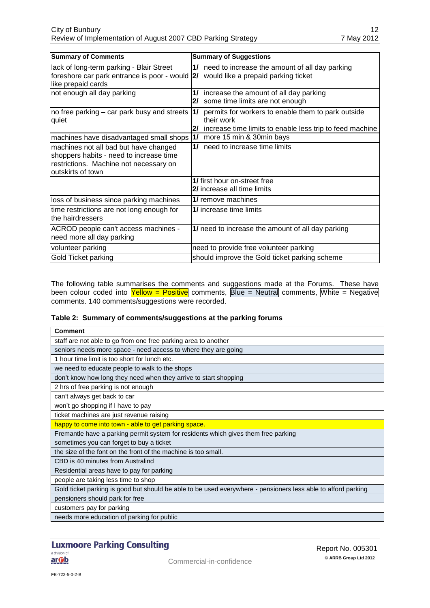| <b>Summary of Comments</b>                                                                                                                       | <b>Summary of Suggestions</b>                                                                                                            |
|--------------------------------------------------------------------------------------------------------------------------------------------------|------------------------------------------------------------------------------------------------------------------------------------------|
| lack of long-term parking - Blair Street<br>foreshore car park entrance is poor - would  2/<br>like prepaid cards                                | need to increase the amount of all day parking<br>11<br>would like a prepaid parking ticket                                              |
| not enough all day parking                                                                                                                       | increase the amount of all day parking<br>1/<br>some time limits are not enough<br>21                                                    |
| no free parking – car park busy and streets  <br>quiet                                                                                           | permits for workers to enable them to park outside<br>1/<br>their work<br>increase time limits to enable less trip to feed machine<br>21 |
| machines have disadvantaged small shops                                                                                                          | 11<br>more 15 min & 30min bays                                                                                                           |
| machines not all bad but have changed<br>shoppers habits - need to increase time<br>restrictions. Machine not necessary on<br>loutskirts of town | need to increase time limits<br>11                                                                                                       |
|                                                                                                                                                  | 1/ first hour on-street free<br>2/ increase all time limits                                                                              |
| loss of business since parking machines                                                                                                          | 1/ remove machines                                                                                                                       |
| time restrictions are not long enough for<br>the hairdressers                                                                                    | 1/ increase time limits                                                                                                                  |
| ACROD people can't access machines -<br>need more all day parking                                                                                | 1/ need to increase the amount of all day parking                                                                                        |
| volunteer parking                                                                                                                                | need to provide free volunteer parking                                                                                                   |
| Gold Ticket parking                                                                                                                              | should improve the Gold ticket parking scheme                                                                                            |

The following table summarises the comments and suggestions made at the Forums. These have been colour coded into  $\frac{$ Yellow = Positive comments, Blue = Neutral comments, White = Negative comments. 140 comments/suggestions were recorded.

| <b>Comment</b>                                                                                                |
|---------------------------------------------------------------------------------------------------------------|
| staff are not able to go from one free parking area to another                                                |
| seniors needs more space - need access to where they are going                                                |
| 1 hour time limit is too short for lunch etc.                                                                 |
| we need to educate people to walk to the shops                                                                |
| don't know how long they need when they arrive to start shopping                                              |
| 2 hrs of free parking is not enough                                                                           |
| can't always get back to car                                                                                  |
| won't go shopping if I have to pay                                                                            |
| ticket machines are just revenue raising                                                                      |
| happy to come into town - able to get parking space.                                                          |
| Fremantle have a parking permit system for residents which gives them free parking                            |
| sometimes you can forget to buy a ticket                                                                      |
| the size of the font on the front of the machine is too small.                                                |
| CBD is 40 minutes from Australind                                                                             |
| Residential areas have to pay for parking                                                                     |
| people are taking less time to shop                                                                           |
| Gold ticket parking is good but should be able to be used everywhere - pensioners less able to afford parking |
| pensioners should park for free                                                                               |
| customers pay for parking                                                                                     |
| needs more education of parking for public                                                                    |

## **Luxmoore Parking Consulting**

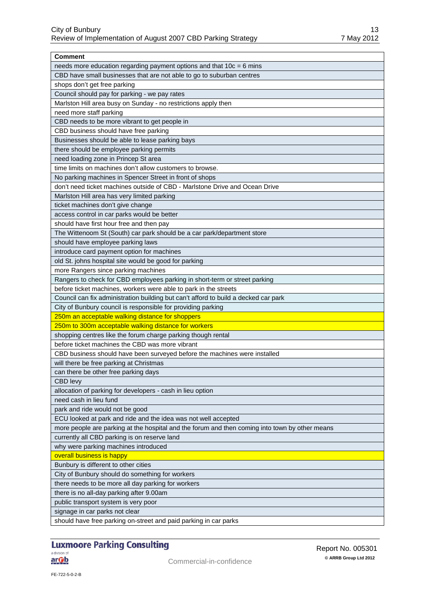| Comment                                                                                        |
|------------------------------------------------------------------------------------------------|
| needs more education regarding payment options and that $10c = 6$ mins                         |
| CBD have small businesses that are not able to go to suburban centres                          |
| shops don't get free parking                                                                   |
| Council should pay for parking - we pay rates                                                  |
| Marlston Hill area busy on Sunday - no restrictions apply then                                 |
| need more staff parking                                                                        |
| CBD needs to be more vibrant to get people in                                                  |
| CBD business should have free parking                                                          |
| Businesses should be able to lease parking bays                                                |
| there should be employee parking permits                                                       |
| need loading zone in Princep St area                                                           |
| time limits on machines don't allow customers to browse.                                       |
| No parking machines in Spencer Street in front of shops                                        |
| don't need ticket machines outside of CBD - Marlstone Drive and Ocean Drive                    |
| Marlston Hill area has very limited parking                                                    |
| ticket machines don't give change                                                              |
| access control in car parks would be better                                                    |
| should have first hour free and then pay                                                       |
| The Wittenoom St (South) car park should be a car park/department store                        |
| should have employee parking laws                                                              |
| introduce card payment option for machines                                                     |
| old St. johns hospital site would be good for parking                                          |
| more Rangers since parking machines                                                            |
| Rangers to check for CBD employees parking in short-term or street parking                     |
| before ticket machines, workers were able to park in the streets                               |
| Council can fix administration building but can't afford to build a decked car park            |
| City of Bunbury council is responsible for providing parking                                   |
| 250m an acceptable walking distance for shoppers                                               |
| 250m to 300m acceptable walking distance for workers                                           |
| shopping centres like the forum charge parking though rental                                   |
| before ticket machines the CBD was more vibrant                                                |
| CBD business should have been surveyed before the machines were installed                      |
| will there be free parking at Christmas                                                        |
| can there be other free parking days                                                           |
| <b>CBD levy</b>                                                                                |
| allocation of parking for developers - cash in lieu option                                     |
| need cash in lieu fund                                                                         |
| park and ride would not be good                                                                |
| ECU looked at park and ride and the idea was not well accepted                                 |
| more people are parking at the hospital and the forum and then coming into town by other means |
| currently all CBD parking is on reserve land                                                   |
| why were parking machines introduced                                                           |
| overall business is happy                                                                      |
| Bunbury is different to other cities                                                           |
|                                                                                                |
| City of Bunbury should do something for workers                                                |
| there needs to be more all day parking for workers                                             |
| there is no all-day parking after 9.00am                                                       |
| public transport system is very poor                                                           |
| signage in car parks not clear                                                                 |
| should have free parking on-street and paid parking in car parks                               |

## **Luxmoore Parking Consulting**

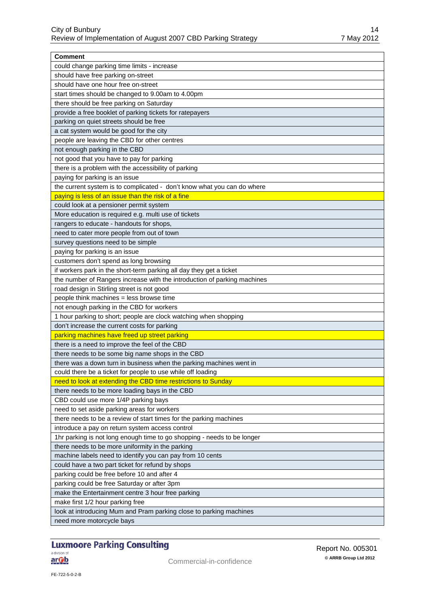| <b>Comment</b>                                                           |
|--------------------------------------------------------------------------|
| could change parking time limits - increase                              |
| should have free parking on-street                                       |
| should have one hour free on-street                                      |
| start times should be changed to 9.00am to 4.00pm                        |
| there should be free parking on Saturday                                 |
| provide a free booklet of parking tickets for ratepayers                 |
| parking on quiet streets should be free                                  |
| a cat system would be good for the city                                  |
| people are leaving the CBD for other centres                             |
| not enough parking in the CBD                                            |
| not good that you have to pay for parking                                |
| there is a problem with the accessibility of parking                     |
| paying for parking is an issue                                           |
| the current system is to complicated - don't know what you can do where  |
| paying is less of an issue than the risk of a fine                       |
| could look at a pensioner permit system                                  |
| More education is required e.g. multi use of tickets                     |
| rangers to educate - handouts for shops,                                 |
| need to cater more people from out of town                               |
| survey questions need to be simple                                       |
| paying for parking is an issue                                           |
| customers don't spend as long browsing                                   |
| if workers park in the short-term parking all day they get a ticket      |
| the number of Rangers increase with the introduction of parking machines |
| road design in Stirling street is not good                               |
| people think machines = less browse time                                 |
| not enough parking in the CBD for workers                                |
| 1 hour parking to short; people are clock watching when shopping         |
| don't increase the current costs for parking                             |
| parking machines have freed up street parking                            |
| there is a need to improve the feel of the CBD                           |
| there needs to be some big name shops in the CBD                         |
| there was a down turn in business when the parking machines went in      |
| could there be a ticket for people to use while off loading              |
| need to look at extending the CBD time restrictions to Sunday            |
| there needs to be more loading bays in the CBD                           |
| CBD could use more 1/4P parking bays                                     |
| need to set aside parking areas for workers                              |
| there needs to be a review of start times for the parking machines       |
| introduce a pay on return system access control                          |
| 1hr parking is not long enough time to go shopping - needs to be longer  |
| there needs to be more uniformity in the parking                         |
| machine labels need to identify you can pay from 10 cents                |
| could have a two part ticket for refund by shops                         |
| parking could be free before 10 and after 4                              |
| parking could be free Saturday or after 3pm                              |
| make the Entertainment centre 3 hour free parking                        |
|                                                                          |
| make first 1/2 hour parking free                                         |
| look at introducing Mum and Pram parking close to parking machines       |
| need more motorcycle bays                                                |

## **Luxmoore Parking Consulting**

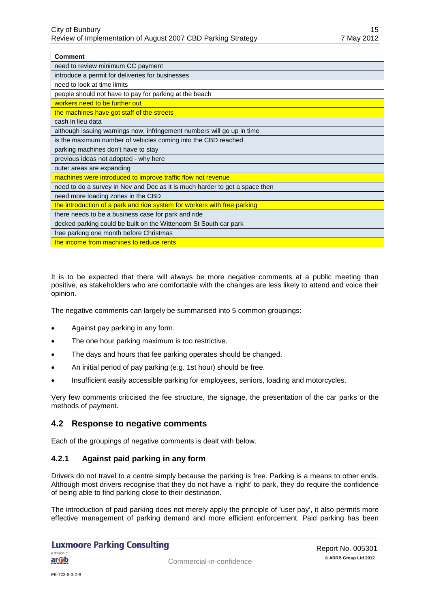| <b>Comment</b>                                                              |
|-----------------------------------------------------------------------------|
| need to review minimum CC payment                                           |
| introduce a permit for deliveries for businesses                            |
| need to look at time limits                                                 |
| people should not have to pay for parking at the beach                      |
| workers need to be further out                                              |
| the machines have got staff of the streets                                  |
| cash in lieu data                                                           |
| although issuing warnings now, infringement numbers will go up in time      |
| is the maximum number of vehicles coming into the CBD reached               |
| parking machines don't have to stay                                         |
| previous ideas not adopted - why here                                       |
| outer areas are expanding                                                   |
| machines were introduced to improve traffic flow not revenue                |
| need to do a survey in Nov and Dec as it is much harder to get a space then |
| need more loading zones in the CBD                                          |
| the introduction of a park and ride system for workers with free parking    |
| there needs to be a business case for park and ride                         |
| decked parking could be built on the Wittenoom St South car park            |
| free parking one month before Christmas                                     |
| the income from machines to reduce rents                                    |

It is to be expected that there will always be more negative comments at a public meeting than positive, as stakeholders who are comfortable with the changes are less likely to attend and voice their opinion.

The negative comments can largely be summarised into 5 common groupings:

- Against pay parking in any form.
- The one hour parking maximum is too restrictive.
- The days and hours that fee parking operates should be changed.
- An initial period of pay parking (e.g. 1st hour) should be free.
- Insufficient easily accessible parking for employees, seniors, loading and motorcycles.

Very few comments criticised the fee structure, the signage, the presentation of the car parks or the methods of payment.

#### <span id="page-17-0"></span>**4.2 Response to negative comments**

Each of the groupings of negative comments is dealt with below.

#### <span id="page-17-1"></span>**4.2.1 Against paid parking in any form**

Drivers do not travel to a centre simply because the parking is free. Parking is a means to other ends. Although most drivers recognise that they do not have a 'right' to park, they do require the confidence of being able to find parking close to their destination.

The introduction of paid parking does not merely apply the principle of 'user pay', it also permits more effective management of parking demand and more efficient enforcement. Paid parking has been

#### **Luxmoore Parking Consulting** a division of <u>ar Ob</u>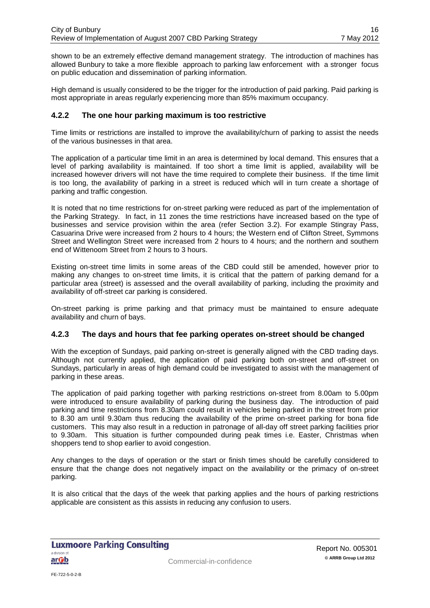shown to be an extremely effective demand management strategy. The introduction of machines has allowed Bunbury to take a more flexible approach to parking law enforcement with a stronger focus on public education and dissemination of parking information.

High demand is usually considered to be the trigger for the introduction of paid parking. Paid parking is most appropriate in areas regularly experiencing more than 85% maximum occupancy.

#### <span id="page-18-0"></span>**4.2.2 The one hour parking maximum is too restrictive**

Time limits or restrictions are installed to improve the availability/churn of parking to assist the needs of the various businesses in that area.

The application of a particular time limit in an area is determined by local demand. This ensures that a level of parking availability is maintained. If too short a time limit is applied, availability will be increased however drivers will not have the time required to complete their business. If the time limit is too long, the availability of parking in a street is reduced which will in turn create a shortage of parking and traffic congestion.

It is noted that no time restrictions for on-street parking were reduced as part of the implementation of the Parking Strategy. In fact, in 11 zones the time restrictions have increased based on the type of businesses and service provision within the area (refer Section [3.2\)](#page-11-2). For example Stingray Pass, Casuarina Drive were increased from 2 hours to 4 hours; the Western end of Clifton Street, Symmons Street and Wellington Street were increased from 2 hours to 4 hours; and the northern and southern end of Wittenoom Street from 2 hours to 3 hours.

Existing on-street time limits in some areas of the CBD could still be amended, however prior to making any changes to on-street time limits, it is critical that the pattern of parking demand for a particular area (street) is assessed and the overall availability of parking, including the proximity and availability of off-street car parking is considered.

On-street parking is prime parking and that primacy must be maintained to ensure adequate availability and churn of bays.

#### <span id="page-18-1"></span>**4.2.3 The days and hours that fee parking operates on-street should be changed**

With the exception of Sundays, paid parking on-street is generally aligned with the CBD trading days. Although not currently applied, the application of paid parking both on-street and off-street on Sundays, particularly in areas of high demand could be investigated to assist with the management of parking in these areas.

The application of paid parking together with parking restrictions on-street from 8.00am to 5.00pm were introduced to ensure availability of parking during the business day. The introduction of paid parking and time restrictions from 8.30am could result in vehicles being parked in the street from prior to 8.30 am until 9.30am thus reducing the availability of the prime on-street parking for bona fide customers. This may also result in a reduction in patronage of all-day off street parking facilities prior to 9.30am. This situation is further compounded during peak times i.e. Easter, Christmas when shoppers tend to shop earlier to avoid congestion.

Any changes to the days of operation or the start or finish times should be carefully considered to ensure that the change does not negatively impact on the availability or the primacy of on-street parking.

It is also critical that the days of the week that parking applies and the hours of parking restrictions applicable are consistent as this assists in reducing any confusion to users.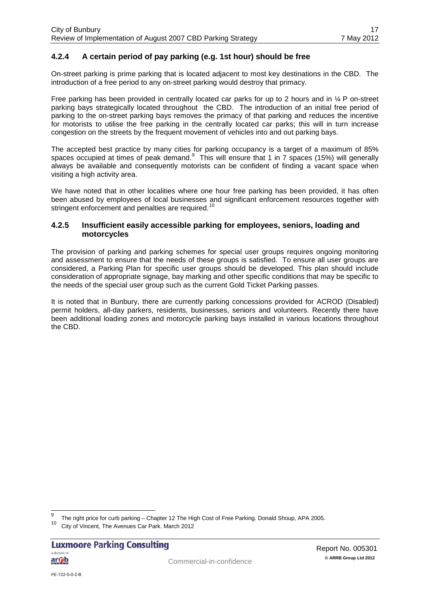#### <span id="page-19-0"></span>**4.2.4 A certain period of pay parking (e.g. 1st hour) should be free**

On-street parking is prime parking that is located adjacent to most key destinations in the CBD. The introduction of a free period to any on-street parking would destroy that primacy.

Free parking has been provided in centrally located car parks for up to 2 hours and in  $\frac{1}{4}$  P on-street parking bays strategically located throughout the CBD. The introduction of an initial free period of parking to the on-street parking bays removes the primacy of that parking and reduces the incentive for motorists to utilise the free parking in the centrally located car parks; this will in turn increase congestion on the streets by the frequent movement of vehicles into and out parking bays.

The accepted best practice by many cities for parking occupancy is a target of a maximum of 85% spaces occupied at times of peak demand. This will ensure that 1 in 7 spaces (15%) will generally always be available and consequently motorists can be confident of finding a vacant space when visiting a high activity area.

We have noted that in other localities where one hour free parking has been provided, it has often been abused by employees of local businesses and significant enforcement resources together with stringent enforcement and penalties are required.<sup>[10](#page-19-2)</sup>

#### <span id="page-19-1"></span>**4.2.5 Insufficient easily accessible parking for employees, seniors, loading and motorcycles**

The provision of parking and parking schemes for special user groups requires ongoing monitoring and assessment to ensure that the needs of these groups is satisfied. To ensure all user groups are considered, a Parking Plan for specific user groups should be developed. This plan should include consideration of appropriate signage, bay marking and other specific conditions that may be specific to the needs of the special user group such as the current Gold Ticket Parking passes.

It is noted that in Bunbury, there are currently parking concessions provided for ACROD (Disabled) permit holders, all-day parkers, residents, businesses, seniors and volunteers. Recently there have been additional loading zones and motorcycle parking bays installed in various locations throughout the CBD.

<span id="page-19-3"></span><sup>&</sup>lt;sup>9</sup> The right price for curb parking – Chapter 12 The High Cost of Free Parking. Donald Shoup, APA 2005.

<span id="page-19-2"></span>City of Vincent, The Avenues Car Park. March 2012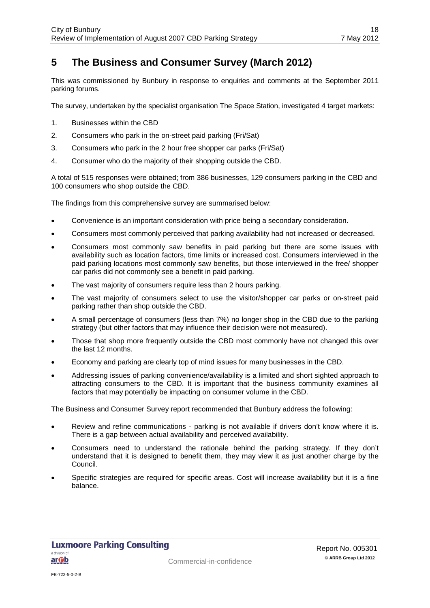## <span id="page-20-0"></span>**5 The Business and Consumer Survey (March 2012)**

This was commissioned by Bunbury in response to enquiries and comments at the September 2011 parking forums.

The survey, undertaken by the specialist organisation The Space Station, investigated 4 target markets:

- 1. Businesses within the CBD
- 2. Consumers who park in the on-street paid parking (Fri/Sat)
- 3. Consumers who park in the 2 hour free shopper car parks (Fri/Sat)
- 4. Consumer who do the majority of their shopping outside the CBD.

A total of 515 responses were obtained; from 386 businesses, 129 consumers parking in the CBD and 100 consumers who shop outside the CBD.

The findings from this comprehensive survey are summarised below:

- Convenience is an important consideration with price being a secondary consideration.
- Consumers most commonly perceived that parking availability had not increased or decreased.
- Consumers most commonly saw benefits in paid parking but there are some issues with availability such as location factors, time limits or increased cost. Consumers interviewed in the paid parking locations most commonly saw benefits, but those interviewed in the free/ shopper car parks did not commonly see a benefit in paid parking.
- The vast majority of consumers require less than 2 hours parking.
- The vast majority of consumers select to use the visitor/shopper car parks or on-street paid parking rather than shop outside the CBD.
- A small percentage of consumers (less than 7%) no longer shop in the CBD due to the parking strategy (but other factors that may influence their decision were not measured).
- Those that shop more frequently outside the CBD most commonly have not changed this over the last 12 months.
- Economy and parking are clearly top of mind issues for many businesses in the CBD.
- Addressing issues of parking convenience/availability is a limited and short sighted approach to attracting consumers to the CBD. It is important that the business community examines all factors that may potentially be impacting on consumer volume in the CBD.

The Business and Consumer Survey report recommended that Bunbury address the following:

- Review and refine communications parking is not available if drivers don't know where it is. There is a gap between actual availability and perceived availability.
- Consumers need to understand the rationale behind the parking strategy. If they don't understand that it is designed to benefit them, they may view it as just another charge by the Council.
- Specific strategies are required for specific areas. Cost will increase availability but it is a fine balance.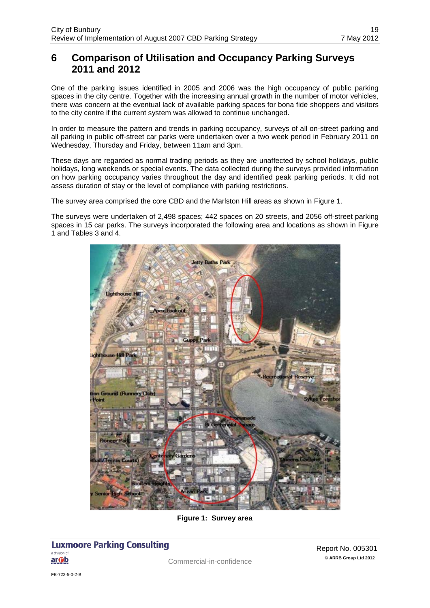### <span id="page-21-0"></span>**6 Comparison of Utilisation and Occupancy Parking Surveys 2011 and 2012**

One of the parking issues identified in 2005 and 2006 was the high occupancy of public parking spaces in the city centre. Together with the increasing annual growth in the number of motor vehicles, there was concern at the eventual lack of available parking spaces for bona fide shoppers and visitors to the city centre if the current system was allowed to continue unchanged.

In order to measure the pattern and trends in parking occupancy, surveys of all on-street parking and all parking in public off-street car parks were undertaken over a two week period in February 2011 on Wednesday, Thursday and Friday, between 11am and 3pm.

These days are regarded as normal trading periods as they are unaffected by school holidays, public holidays, long weekends or special events. The data collected during the surveys provided information on how parking occupancy varies throughout the day and identified peak parking periods. It did not assess duration of stay or the level of compliance with parking restrictions.

The survey area comprised the core CBD and the Marlston Hill areas as shown in [Figure 1.](#page-21-1)

The surveys were undertaken of 2,498 spaces; 442 spaces on 20 streets, and 2056 off-street parking spaces in 15 car parks. The surveys incorporated the following area and locations as shown in [Figure](#page-21-1)  [1](#page-21-1) and Tables 3 and 4.



**Figure 1: Survey area**

#### <span id="page-21-1"></span>**Luxmoore Parking Consulting** a division of <u>arOb</u>

FE-722-5-0-2-B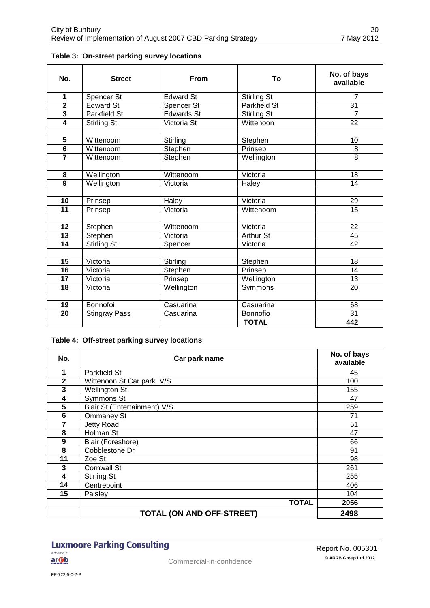| No.                     | <b>Street</b>        | <b>From</b> | Τo                  | No. of bays<br>available |
|-------------------------|----------------------|-------------|---------------------|--------------------------|
| 1                       | Spencer St           | Edward St   | <b>Stirling St</b>  | $\overline{7}$           |
| $\overline{2}$          | Edward St            | Spencer St  | <b>Parkfield St</b> | 31                       |
| $\overline{\mathbf{3}}$ | Parkfield St         | Edwards St  | <b>Stirling St</b>  | $\overline{7}$           |
| $\overline{\mathbf{4}}$ | Stirling St          | Victoria St | Wittenoon           | 22                       |
|                         |                      |             |                     |                          |
| 5                       | Wittenoom            | Stirling    | Stephen             | 10                       |
| $\overline{6}$          | Wittenoom            | Stephen     | Prinsep             | 8                        |
|                         | Wittenoom            | Stephen     | Wellington          | 8                        |
|                         |                      |             |                     |                          |
| 8                       | Wellington           | Wittenoom   | Victoria            | 18                       |
| $\overline{9}$          | Wellington           | Victoria    | Haley               | 14                       |
|                         |                      |             |                     |                          |
| 10                      | Prinsep              | Haley       | Victoria            | 29                       |
| $\overline{11}$         | Prinsep              | Victoria    | Wittenoom           | 15                       |
|                         |                      |             |                     |                          |
| 12                      | Stephen              | Wittenoom   | Victoria            | 22                       |
| $\overline{13}$         | Stephen              | Victoria    | <b>Arthur St</b>    | 45                       |
| $\overline{14}$         | Stirling St          | Spencer     | Victoria            | 42                       |
|                         |                      |             |                     |                          |
| 15                      | Victoria             | Stirling    | Stephen             | 18                       |
| $\overline{16}$         | Victoria             | Stephen     | Prinsep             | $\overline{14}$          |
| 17                      | Victoria             | Prinsep     | Wellington          | 13                       |
| 18                      | Victoria             | Wellington  | Symmons             | 20                       |
|                         |                      |             |                     |                          |
| 19                      | Bonnofoi             | Casuarina   | Casuarina           | 68                       |
| 20                      | <b>Stingray Pass</b> | Casuarina   | <b>Bonnofio</b>     | 31                       |
|                         |                      |             | <b>TOTAL</b>        | 442                      |

#### **Table 3: On-street parking survey locations**

#### **Table 4: Off-street parking survey locations**

| No.          | Car park name                    | No. of bays<br>available |
|--------------|----------------------------------|--------------------------|
| 1            | <b>Parkfield St</b>              | 45                       |
| $\mathbf{2}$ | Wittenoon St Car park V/S        | 100                      |
| 3            | <b>Wellington St</b>             | 155                      |
| 4            | Symmons St                       | 47                       |
| 5            | Blair St (Entertainment) V/S     | 259                      |
| 6            | <b>Ommaney St</b>                | 71                       |
| 7            | Jetty Road                       | 51                       |
| 8            | Holman St                        | 47                       |
| 9            | Blair (Foreshore)                | 66                       |
| 8            | Cobblestone Dr                   | 91                       |
| 11           | Zoe St                           | 98                       |
| 3            | <b>Cornwall St</b>               | 261                      |
| 4            | Stirling St                      | 255                      |
| 14           | Centrepoint                      | 406                      |
| 15           | Paisley                          | 104                      |
|              | <b>TOTAL</b>                     | 2056                     |
|              | <b>TOTAL (ON AND OFF-STREET)</b> | 2498                     |

#### **Luxmoore Parking Consulting** a division of arOb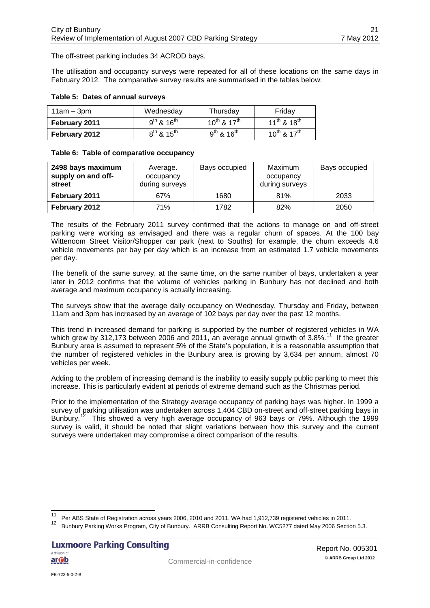The off-street parking includes 34 ACROD bays.

The utilisation and occupancy surveys were repeated for all of these locations on the same days in February 2012. The comparative survey results are summarised in the tables below:

#### **Table 5: Dates of annual surveys**

| $11am - 3pm$  | Wednesday            | Thursday              | Friday                |
|---------------|----------------------|-----------------------|-----------------------|
| February 2011 | $9^{th}$ & $16^{th}$ | $10^{th}$ & $17^{th}$ | $11^{th}$ & $18^{th}$ |
| February 2012 | $8^{th}$ & $15^{th}$ | $9^{th}$ & $16^{th}$  | $10^{th}$ & $17^{th}$ |

#### **Table 6: Table of comparative occupancy**

| 2498 bays maximum<br>supply on and off-<br>street | Average.<br>occupancy<br>during surveys | Bays occupied | Maximum<br>occupancy<br>during surveys | Bays occupied |
|---------------------------------------------------|-----------------------------------------|---------------|----------------------------------------|---------------|
| February 2011                                     | 67%                                     | 1680          | 81%                                    | 2033          |
| February 2012                                     | 71%                                     | 1782          | 82%                                    | 2050          |

The results of the February 2011 survey confirmed that the actions to manage on and off-street parking were working as envisaged and there was a regular churn of spaces. At the 100 bay Wittenoom Street Visitor/Shopper car park (next to Souths) for example, the churn exceeds 4.6 vehicle movements per bay per day which is an increase from an estimated 1.7 vehicle movements per day.

The benefit of the same survey, at the same time, on the same number of bays, undertaken a year later in 2012 confirms that the volume of vehicles parking in Bunbury has not declined and both average and maximum occupancy is actually increasing.

The surveys show that the average daily occupancy on Wednesday, Thursday and Friday, between 11am and 3pm has increased by an average of 102 bays per day over the past 12 months.

This trend in increased demand for parking is supported by the number of registered vehicles in WA which grew by 312,173 between 2006 and 2011, an average annual growth of 3.8%.<sup>11</sup> If the greater Bunbury area is assumed to represent 5% of the State's population, it is a reasonable assumption that the number of registered vehicles in the Bunbury area is growing by 3,634 per annum, almost 70 vehicles per week.

Adding to the problem of increasing demand is the inability to easily supply public parking to meet this increase. This is particularly evident at periods of extreme demand such as the Christmas period.

Prior to the implementation of the Strategy average occupancy of parking bays was higher. In 1999 a survey of parking utilisation was undertaken across 1,404 CBD on-street and off-street parking bays in Bunbury.<sup>12</sup> This showed a very high average occupancy of 963 bays or 79%. Although the 1999  $\mu$  This showed a very high average occupancy of 963 bays or 79%. Although the 1999 survey is valid, it should be noted that slight variations between how this survey and the current surveys were undertaken may compromise a direct comparison of the results.

<span id="page-23-1"></span>Per ABS State of Registration across years 2006, 2010 and 2011. WA had 1,912,739 registered vehicles in 2011.

<span id="page-23-0"></span><sup>12</sup> Bunbury Parking Works Program, City of Bunbury. ARRB Consulting Report No. WC5277 dated May 2006 Section 5.3.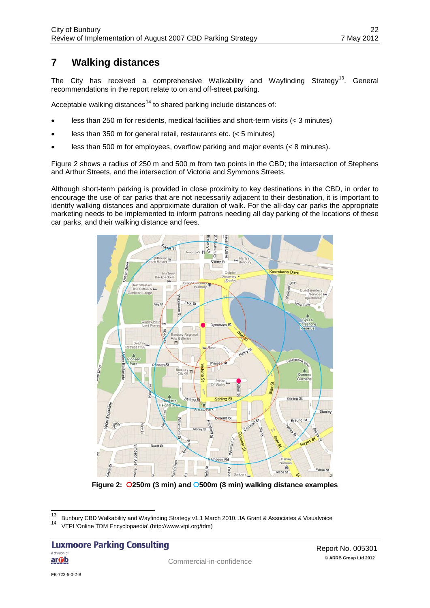## <span id="page-24-0"></span>**7 Walking distances**

The City has received a comprehensive Walkability and Wayfinding Strategy<sup>13</sup>. General recommendations in the report relate to on and off-street parking.

Acceptable walking distances<sup>[14](#page-24-1)</sup> to shared parking include distances of:

- less than 250 m for residents, medical facilities and short-term visits (< 3 minutes)
- less than 350 m for general retail, restaurants etc. (< 5 minutes)
- less than 500 m for employees, overflow parking and major events (< 8 minutes).

Figure 2 shows a radius of 250 m and 500 m from two points in the CBD; the intersection of Stephens and Arthur Streets, and the intersection of Victoria and Symmons Streets.

Although short-term parking is provided in close proximity to key destinations in the CBD, in order to encourage the use of car parks that are not necessarily adjacent to their destination, it is important to identify walking distances and approximate duration of walk. For the all-day car parks the appropriate marketing needs to be implemented to inform patrons needing all day parking of the locations of these car parks, and their walking distance and fees.



**Figure 2: 250m (3 min) and 500m (8 min) walking distance examples**

**Luxmoore Parking Consulting** a division of <u>arOb</u>

<span id="page-24-1"></span><sup>&</sup>lt;sup>13</sup> Bunbury CBD Walkability and Wayfinding Strategy v1.1 March 2010. JA Grant & Associates & Visualvoice

<sup>14</sup> VTPI 'Online TDM Encyclopaedia' (http://www.vtpi.org/tdm)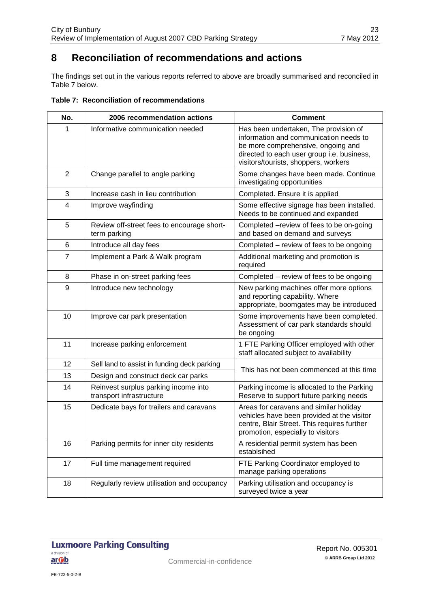## <span id="page-25-0"></span>**8 Reconciliation of recommendations and actions**

The findings set out in the various reports referred to above are broadly summarised and reconciled in [Table 7](#page-25-1) below.

<span id="page-25-1"></span>

| Table 7: Reconciliation of recommendations |  |
|--------------------------------------------|--|
|--------------------------------------------|--|

| No.            | 2006 recommendation actions                                      | <b>Comment</b>                                                                                                                                                                                              |  |
|----------------|------------------------------------------------------------------|-------------------------------------------------------------------------------------------------------------------------------------------------------------------------------------------------------------|--|
| 1              | Informative communication needed                                 | Has been undertaken, The provision of<br>information and communication needs to<br>be more comprehensive, ongoing and<br>directed to each user group i.e. business,<br>visitors/tourists, shoppers, workers |  |
| $\overline{2}$ | Change parallel to angle parking                                 | Some changes have been made. Continue<br>investigating opportunities                                                                                                                                        |  |
| 3              | Increase cash in lieu contribution                               | Completed. Ensure it is applied                                                                                                                                                                             |  |
| 4              | Improve wayfinding                                               | Some effective signage has been installed.<br>Needs to be continued and expanded                                                                                                                            |  |
| 5              | Review off-street fees to encourage short-<br>term parking       | Completed -review of fees to be on-going<br>and based on demand and surveys                                                                                                                                 |  |
| 6              | Introduce all day fees                                           | Completed – review of fees to be ongoing                                                                                                                                                                    |  |
| $\overline{7}$ | Implement a Park & Walk program                                  | Additional marketing and promotion is<br>required                                                                                                                                                           |  |
| 8              | Phase in on-street parking fees                                  | Completed - review of fees to be ongoing                                                                                                                                                                    |  |
| 9              | Introduce new technology                                         | New parking machines offer more options<br>and reporting capability. Where<br>appropriate, boomgates may be introduced                                                                                      |  |
| 10             | Improve car park presentation                                    | Some improvements have been completed.<br>Assessment of car park standards should<br>be ongoing                                                                                                             |  |
| 11             | Increase parking enforcement                                     | 1 FTE Parking Officer employed with other<br>staff allocated subject to availability                                                                                                                        |  |
| 12             | Sell land to assist in funding deck parking                      | This has not been commenced at this time                                                                                                                                                                    |  |
| 13             | Design and construct deck car parks                              |                                                                                                                                                                                                             |  |
| 14             | Reinvest surplus parking income into<br>transport infrastructure | Parking income is allocated to the Parking<br>Reserve to support future parking needs                                                                                                                       |  |
| 15             | Dedicate bays for trailers and caravans                          | Areas for caravans and similar holiday<br>vehicles have been provided at the visitor<br>centre, Blair Street. This requires further<br>promotion, especially to visitors                                    |  |
| 16             | Parking permits for inner city residents                         | A residential permit system has been<br>establsihed                                                                                                                                                         |  |
| 17             | Full time management required                                    | FTE Parking Coordinator employed to<br>manage parking operations                                                                                                                                            |  |
| 18             | Regularly review utilisation and occupancy                       | Parking utilisation and occupancy is<br>surveyed twice a year                                                                                                                                               |  |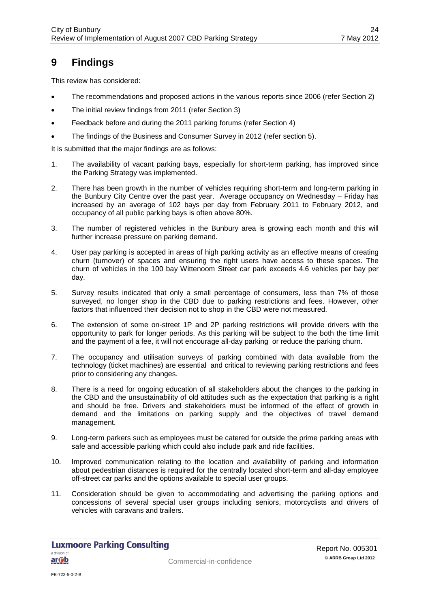## <span id="page-26-0"></span>**9 Findings**

This review has considered:

- The recommendations and proposed actions in the various reports since 2006 (refer Section 2)
- The initial review findings from 2011 (refer Section 3)
- Feedback before and during the 2011 parking forums (refer Section 4)
- The findings of the Business and Consumer Survey in 2012 (refer section 5).

It is submitted that the major findings are as follows:

- 1. The availability of vacant parking bays, especially for short-term parking, has improved since the Parking Strategy was implemented.
- 2. There has been growth in the number of vehicles requiring short-term and long-term parking in the Bunbury City Centre over the past year. Average occupancy on Wednesday – Friday has increased by an average of 102 bays per day from February 2011 to February 2012, and occupancy of all public parking bays is often above 80%.
- 3. The number of registered vehicles in the Bunbury area is growing each month and this will further increase pressure on parking demand.
- 4. User pay parking is accepted in areas of high parking activity as an effective means of creating churn (turnover) of spaces and ensuring the right users have access to these spaces. The churn of vehicles in the 100 bay Wittenoom Street car park exceeds 4.6 vehicles per bay per day.
- 5. Survey results indicated that only a small percentage of consumers, less than 7% of those surveyed, no longer shop in the CBD due to parking restrictions and fees. However, other factors that influenced their decision not to shop in the CBD were not measured.
- 6. The extension of some on-street 1P and 2P parking restrictions will provide drivers with the opportunity to park for longer periods. As this parking will be subject to the both the time limit and the payment of a fee, it will not encourage all-day parking or reduce the parking churn.
- 7. The occupancy and utilisation surveys of parking combined with data available from the technology (ticket machines) are essential and critical to reviewing parking restrictions and fees prior to considering any changes.
- 8. There is a need for ongoing education of all stakeholders about the changes to the parking in the CBD and the unsustainability of old attitudes such as the expectation that parking is a right and should be free. Drivers and stakeholders must be informed of the effect of growth in demand and the limitations on parking supply and the objectives of travel demand management.
- 9. Long-term parkers such as employees must be catered for outside the prime parking areas with safe and accessible parking which could also include park and ride facilities.
- 10. Improved communication relating to the location and availability of parking and information about pedestrian distances is required for the centrally located short-term and all-day employee off-street car parks and the options available to special user groups.
- 11. Consideration should be given to accommodating and advertising the parking options and concessions of several special user groups including seniors, motorcyclists and drivers of vehicles with caravans and trailers.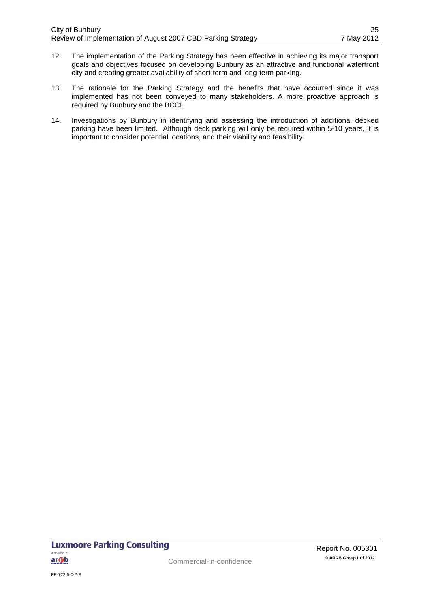- 12. The implementation of the Parking Strategy has been effective in achieving its major transport goals and objectives focused on developing Bunbury as an attractive and functional waterfront city and creating greater availability of short-term and long-term parking.
- 13. The rationale for the Parking Strategy and the benefits that have occurred since it was implemented has not been conveyed to many stakeholders. A more proactive approach is required by Bunbury and the BCCI.
- 14. Investigations by Bunbury in identifying and assessing the introduction of additional decked parking have been limited. Although deck parking will only be required within 5-10 years, it is important to consider potential locations, and their viability and feasibility.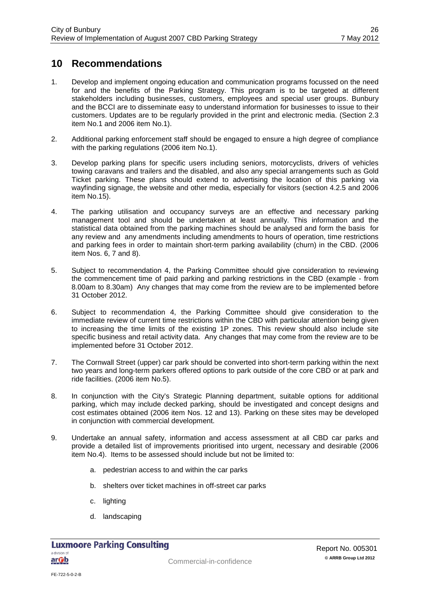## <span id="page-28-0"></span>**10 Recommendations**

- 1. Develop and implement ongoing education and communication programs focussed on the need for and the benefits of the Parking Strategy. This program is to be targeted at different stakeholders including businesses, customers, employees and special user groups. Bunbury and the BCCI are to disseminate easy to understand information for businesses to issue to their customers. Updates are to be regularly provided in the print and electronic media. (Section 2.3 item No.1 and 2006 item No.1).
- 2. Additional parking enforcement staff should be engaged to ensure a high degree of compliance with the parking regulations (2006 item No.1).
- 3. Develop parking plans for specific users including seniors, motorcyclists, drivers of vehicles towing caravans and trailers and the disabled, and also any special arrangements such as Gold Ticket parking. These plans should extend to advertising the location of this parking via wayfinding signage, the website and other media, especially for visitors (section 4.2.5 and 2006 item No.15).
- 4. The parking utilisation and occupancy surveys are an effective and necessary parking management tool and should be undertaken at least annually. This information and the statistical data obtained from the parking machines should be analysed and form the basis for any review and any amendments including amendments to hours of operation, time restrictions and parking fees in order to maintain short-term parking availability (churn) in the CBD. (2006 item Nos. 6, 7 and 8).
- 5. Subject to recommendation 4, the Parking Committee should give consideration to reviewing the commencement time of paid parking and parking restrictions in the CBD (example - from 8.00am to 8.30am) Any changes that may come from the review are to be implemented before 31 October 2012.
- 6. Subject to recommendation 4, the Parking Committee should give consideration to the immediate review of current time restrictions within the CBD with particular attention being given to increasing the time limits of the existing 1P zones. This review should also include site specific business and retail activity data. Any changes that may come from the review are to be implemented before 31 October 2012.
- 7. The Cornwall Street (upper) car park should be converted into short-term parking within the next two years and long-term parkers offered options to park outside of the core CBD or at park and ride facilities. (2006 item No.5).
- 8. In conjunction with the City's Strategic Planning department, suitable options for additional parking, which may include decked parking, should be investigated and concept designs and cost estimates obtained (2006 item Nos. 12 and 13). Parking on these sites may be developed in conjunction with commercial development.
- 9. Undertake an annual safety, information and access assessment at all CBD car parks and provide a detailed list of improvements prioritised into urgent, necessary and desirable (2006 item No.4). Items to be assessed should include but not be limited to:
	- a. pedestrian access to and within the car parks
	- b. shelters over ticket machines in off-street car parks
	- c. lighting
	- d. landscaping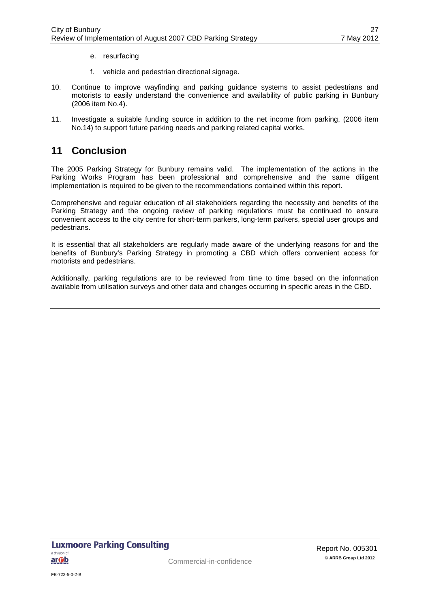- e. resurfacing
- f. vehicle and pedestrian directional signage.
- 10. Continue to improve wayfinding and parking guidance systems to assist pedestrians and motorists to easily understand the convenience and availability of public parking in Bunbury (2006 item No.4).
- 11. Investigate a suitable funding source in addition to the net income from parking, (2006 item No.14) to support future parking needs and parking related capital works.

### <span id="page-29-0"></span>**11 Conclusion**

The 2005 Parking Strategy for Bunbury remains valid. The implementation of the actions in the Parking Works Program has been professional and comprehensive and the same diligent implementation is required to be given to the recommendations contained within this report.

Comprehensive and regular education of all stakeholders regarding the necessity and benefits of the Parking Strategy and the ongoing review of parking regulations must be continued to ensure convenient access to the city centre for short-term parkers, long-term parkers, special user groups and pedestrians.

It is essential that all stakeholders are regularly made aware of the underlying reasons for and the benefits of Bunbury's Parking Strategy in promoting a CBD which offers convenient access for motorists and pedestrians.

Additionally, parking regulations are to be reviewed from time to time based on the information available from utilisation surveys and other data and changes occurring in specific areas in the CBD.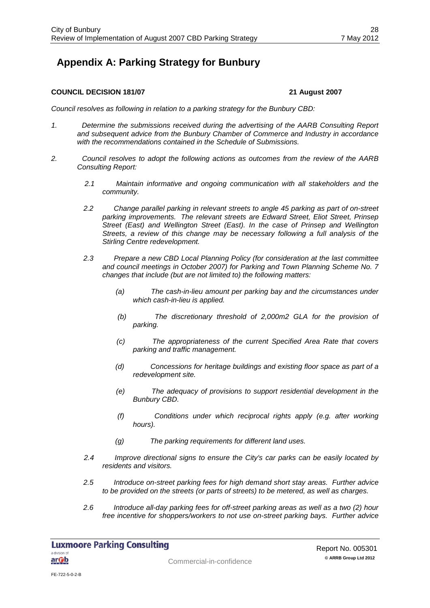## <span id="page-30-0"></span>**Appendix A: Parking Strategy for Bunbury**

#### **COUNCIL DECISION 181/07 21 August 2007**

*Council resolves as following in relation to a parking strategy for the Bunbury CBD:*

- *1. Determine the submissions received during the advertising of the AARB Consulting Report and subsequent advice from the Bunbury Chamber of Commerce and Industry in accordance with the recommendations contained in the Schedule of Submissions.*
- *2. Council resolves to adopt the following actions as outcomes from the review of the AARB Consulting Report:*
	- *2.1 Maintain informative and ongoing communication with all stakeholders and the community.*
	- *2.2 Change parallel parking in relevant streets to angle 45 parking as part of on-street parking improvements. The relevant streets are Edward Street, Eliot Street, Prinsep Street (East) and Wellington Street (East). In the case of Prinsep and Wellington Streets, a review of this change may be necessary following a full analysis of the Stirling Centre redevelopment.*
	- *2.3 Prepare a new CBD Local Planning Policy (for consideration at the last committee and council meetings in October 2007) for Parking and Town Planning Scheme No. 7 changes that include (but are not limited to) the following matters:*
		- *(a) The cash-in-lieu amount per parking bay and the circumstances under which cash-in-lieu is applied.*
		- *(b) The discretionary threshold of 2,000m2 GLA for the provision of parking.*
		- *(c) The appropriateness of the current Specified Area Rate that covers parking and traffic management.*
		- *(d) Concessions for heritage buildings and existing floor space as part of a redevelopment site.*
		- *(e) The adequacy of provisions to support residential development in the Bunbury CBD.*
		- *(f) Conditions under which reciprocal rights apply (e.g. after working hours).*
		- *(g) The parking requirements for different land uses.*
	- *2.4 Improve directional signs to ensure the City's car parks can be easily located by residents and visitors.*
	- *2.5 Introduce on-street parking fees for high demand short stay areas. Further advice to be provided on the streets (or parts of streets) to be metered, as well as charges.*
	- *2.6 Introduce all-day parking fees for off-street parking areas as well as a two (2) hour free incentive for shoppers/workers to not use on-street parking bays. Further advice*

**Luxmoore Parking Consulting** a division of <u>ar Ob</u>